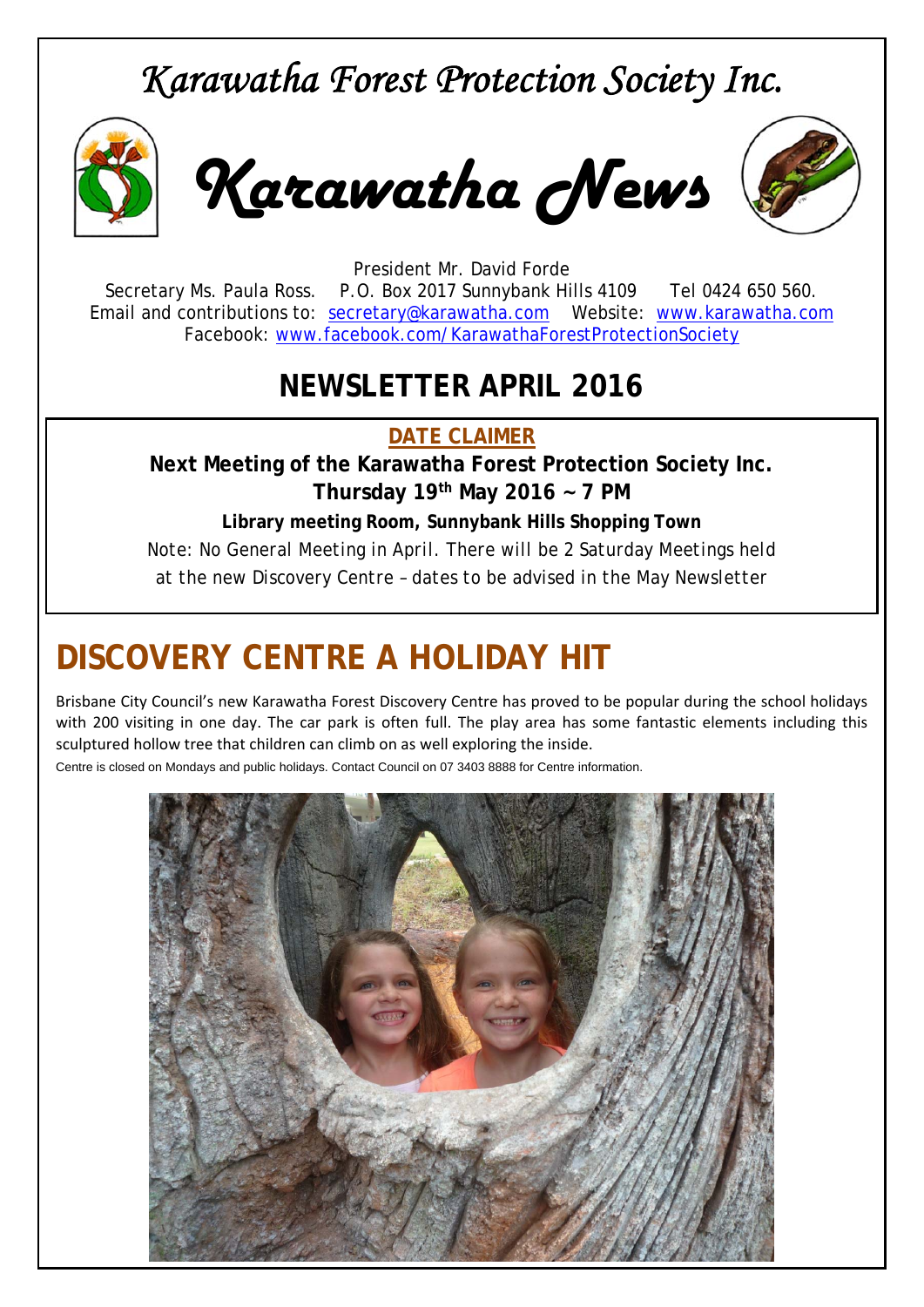# *Karawatha Forest Protection Society Inc.*



*Karawatha News*



President Mr. David Forde Secretary Ms. Paula Ross. P.O. Box 2017 Sunnybank Hills 4109 Tel 0424 650 560. Email and contributions to: secretary@karawatha.com Website: www.karawatha.com Facebook: www.facebook.com/KarawathaForestProtectionSociety

## **NEWSLETTER APRIL 2016**

**DATE CLAIMER** 

**Next Meeting of the Karawatha Forest Protection Society Inc. Thursday 19th May 2016 ~ 7 PM** 

**Library meeting Room, Sunnybank Hills Shopping Town**  *Note: No General Meeting in April. There will be 2 Saturday Meetings held at the new Discovery Centre – dates to be advised in the May Newsletter* 

# **DISCOVERY CENTRE A HOLIDAY HIT**

Brisbane City Council's new Karawatha Forest Discovery Centre has proved to be popular during the school holidays with 200 visiting in one day. The car park is often full. The play area has some fantastic elements including this sculptured hollow tree that children can climb on as well exploring the inside.

Centre is closed on Mondays and public holidays. Contact Council on 07 3403 8888 for Centre information.